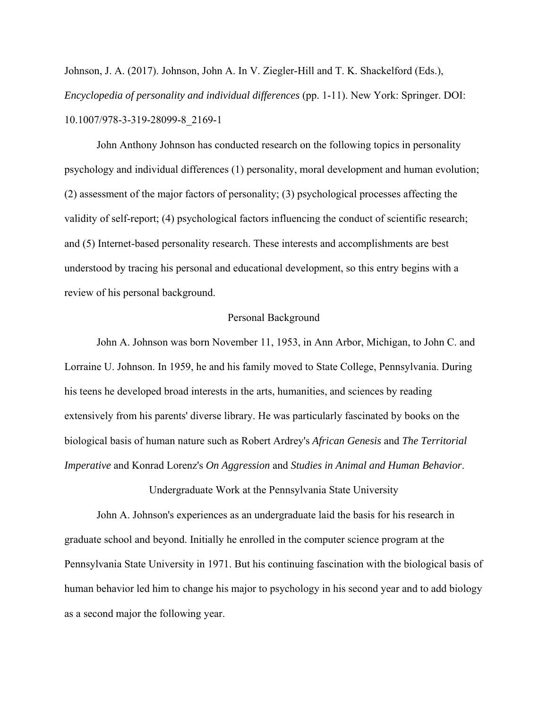Johnson, J. A. (2017). Johnson, John A. In V. Ziegler-Hill and T. K. Shackelford (Eds.), *Encyclopedia of personality and individual differences* (pp. 1-11). New York: Springer. DOI: 10.1007/978-3-319-28099-8\_2169-1

John Anthony Johnson has conducted research on the following topics in personality psychology and individual differences (1) personality, moral development and human evolution; (2) assessment of the major factors of personality; (3) psychological processes affecting the validity of self-report; (4) psychological factors influencing the conduct of scientific research; and (5) Internet-based personality research. These interests and accomplishments are best understood by tracing his personal and educational development, so this entry begins with a review of his personal background.

#### Personal Background

John A. Johnson was born November 11, 1953, in Ann Arbor, Michigan, to John C. and Lorraine U. Johnson. In 1959, he and his family moved to State College, Pennsylvania. During his teens he developed broad interests in the arts, humanities, and sciences by reading extensively from his parents' diverse library. He was particularly fascinated by books on the biological basis of human nature such as Robert Ardrey's *African Genesis* and *The Territorial Imperative* and Konrad Lorenz's *On Aggression* and *Studies in Animal and Human Behavior*.

Undergraduate Work at the Pennsylvania State University

John A. Johnson's experiences as an undergraduate laid the basis for his research in graduate school and beyond. Initially he enrolled in the computer science program at the Pennsylvania State University in 1971. But his continuing fascination with the biological basis of human behavior led him to change his major to psychology in his second year and to add biology as a second major the following year.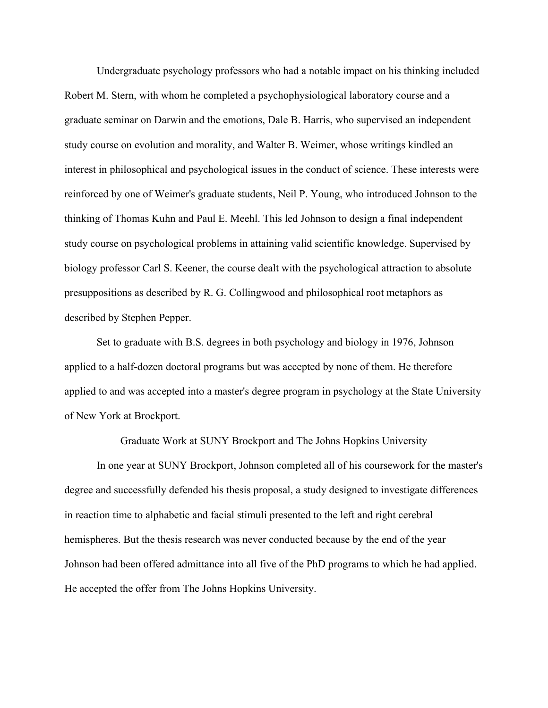Undergraduate psychology professors who had a notable impact on his thinking included Robert M. Stern, with whom he completed a psychophysiological laboratory course and a graduate seminar on Darwin and the emotions, Dale B. Harris, who supervised an independent study course on evolution and morality, and Walter B. Weimer, whose writings kindled an interest in philosophical and psychological issues in the conduct of science. These interests were reinforced by one of Weimer's graduate students, Neil P. Young, who introduced Johnson to the thinking of Thomas Kuhn and Paul E. Meehl. This led Johnson to design a final independent study course on psychological problems in attaining valid scientific knowledge. Supervised by biology professor Carl S. Keener, the course dealt with the psychological attraction to absolute presuppositions as described by R. G. Collingwood and philosophical root metaphors as described by Stephen Pepper.

Set to graduate with B.S. degrees in both psychology and biology in 1976, Johnson applied to a half-dozen doctoral programs but was accepted by none of them. He therefore applied to and was accepted into a master's degree program in psychology at the State University of New York at Brockport.

Graduate Work at SUNY Brockport and The Johns Hopkins University

In one year at SUNY Brockport, Johnson completed all of his coursework for the master's degree and successfully defended his thesis proposal, a study designed to investigate differences in reaction time to alphabetic and facial stimuli presented to the left and right cerebral hemispheres. But the thesis research was never conducted because by the end of the year Johnson had been offered admittance into all five of the PhD programs to which he had applied. He accepted the offer from The Johns Hopkins University.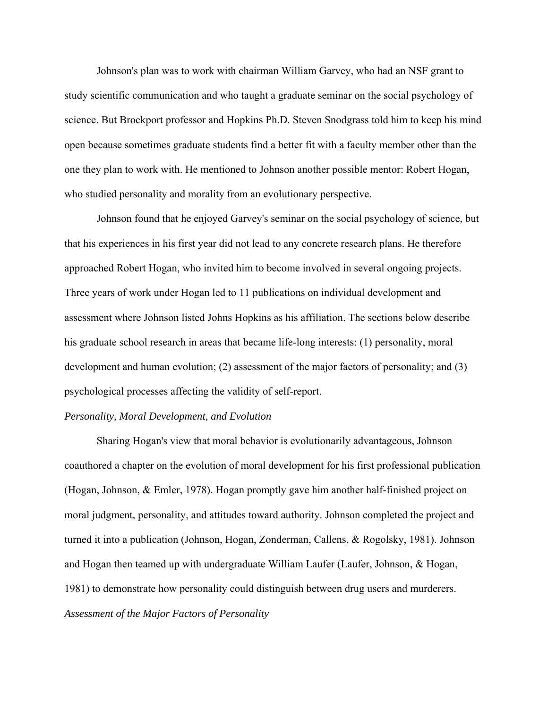Johnson's plan was to work with chairman William Garvey, who had an NSF grant to study scientific communication and who taught a graduate seminar on the social psychology of science. But Brockport professor and Hopkins Ph.D. Steven Snodgrass told him to keep his mind open because sometimes graduate students find a better fit with a faculty member other than the one they plan to work with. He mentioned to Johnson another possible mentor: Robert Hogan, who studied personality and morality from an evolutionary perspective.

Johnson found that he enjoyed Garvey's seminar on the social psychology of science, but that his experiences in his first year did not lead to any concrete research plans. He therefore approached Robert Hogan, who invited him to become involved in several ongoing projects. Three years of work under Hogan led to 11 publications on individual development and assessment where Johnson listed Johns Hopkins as his affiliation. The sections below describe his graduate school research in areas that became life-long interests: (1) personality, moral development and human evolution; (2) assessment of the major factors of personality; and (3) psychological processes affecting the validity of self-report.

## *Personality, Moral Development, and Evolution*

Sharing Hogan's view that moral behavior is evolutionarily advantageous, Johnson coauthored a chapter on the evolution of moral development for his first professional publication (Hogan, Johnson, & Emler, 1978). Hogan promptly gave him another half-finished project on moral judgment, personality, and attitudes toward authority. Johnson completed the project and turned it into a publication (Johnson, Hogan, Zonderman, Callens, & Rogolsky, 1981). Johnson and Hogan then teamed up with undergraduate William Laufer (Laufer, Johnson, & Hogan, 1981) to demonstrate how personality could distinguish between drug users and murderers. *Assessment of the Major Factors of Personality*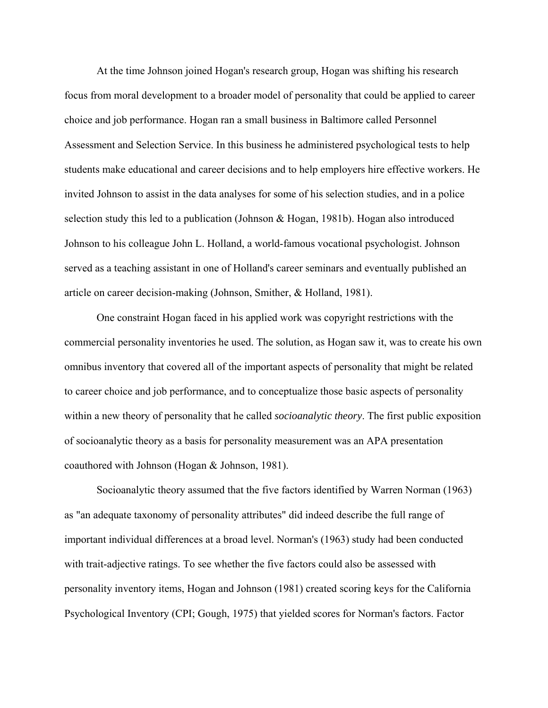At the time Johnson joined Hogan's research group, Hogan was shifting his research focus from moral development to a broader model of personality that could be applied to career choice and job performance. Hogan ran a small business in Baltimore called Personnel Assessment and Selection Service. In this business he administered psychological tests to help students make educational and career decisions and to help employers hire effective workers. He invited Johnson to assist in the data analyses for some of his selection studies, and in a police selection study this led to a publication (Johnson & Hogan, 1981b). Hogan also introduced Johnson to his colleague John L. Holland, a world-famous vocational psychologist. Johnson served as a teaching assistant in one of Holland's career seminars and eventually published an article on career decision-making (Johnson, Smither, & Holland, 1981).

One constraint Hogan faced in his applied work was copyright restrictions with the commercial personality inventories he used. The solution, as Hogan saw it, was to create his own omnibus inventory that covered all of the important aspects of personality that might be related to career choice and job performance, and to conceptualize those basic aspects of personality within a new theory of personality that he called *socioanalytic theory*. The first public exposition of socioanalytic theory as a basis for personality measurement was an APA presentation coauthored with Johnson (Hogan & Johnson, 1981).

Socioanalytic theory assumed that the five factors identified by Warren Norman (1963) as "an adequate taxonomy of personality attributes" did indeed describe the full range of important individual differences at a broad level. Norman's (1963) study had been conducted with trait-adjective ratings. To see whether the five factors could also be assessed with personality inventory items, Hogan and Johnson (1981) created scoring keys for the California Psychological Inventory (CPI; Gough, 1975) that yielded scores for Norman's factors. Factor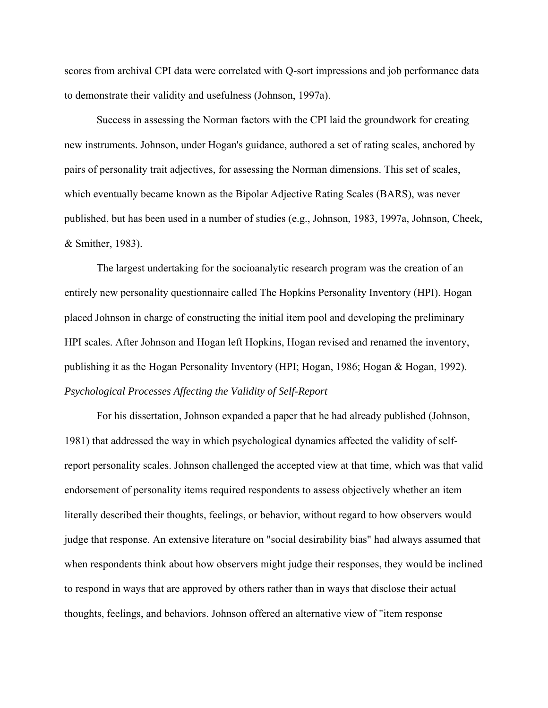scores from archival CPI data were correlated with Q-sort impressions and job performance data to demonstrate their validity and usefulness (Johnson, 1997a).

Success in assessing the Norman factors with the CPI laid the groundwork for creating new instruments. Johnson, under Hogan's guidance, authored a set of rating scales, anchored by pairs of personality trait adjectives, for assessing the Norman dimensions. This set of scales, which eventually became known as the Bipolar Adjective Rating Scales (BARS), was never published, but has been used in a number of studies (e.g., Johnson, 1983, 1997a, Johnson, Cheek, & Smither, 1983).

The largest undertaking for the socioanalytic research program was the creation of an entirely new personality questionnaire called The Hopkins Personality Inventory (HPI). Hogan placed Johnson in charge of constructing the initial item pool and developing the preliminary HPI scales. After Johnson and Hogan left Hopkins, Hogan revised and renamed the inventory, publishing it as the Hogan Personality Inventory (HPI; Hogan, 1986; Hogan & Hogan, 1992). *Psychological Processes Affecting the Validity of Self-Report* 

For his dissertation, Johnson expanded a paper that he had already published (Johnson, 1981) that addressed the way in which psychological dynamics affected the validity of selfreport personality scales. Johnson challenged the accepted view at that time, which was that valid endorsement of personality items required respondents to assess objectively whether an item literally described their thoughts, feelings, or behavior, without regard to how observers would judge that response. An extensive literature on "social desirability bias" had always assumed that when respondents think about how observers might judge their responses, they would be inclined to respond in ways that are approved by others rather than in ways that disclose their actual thoughts, feelings, and behaviors. Johnson offered an alternative view of "item response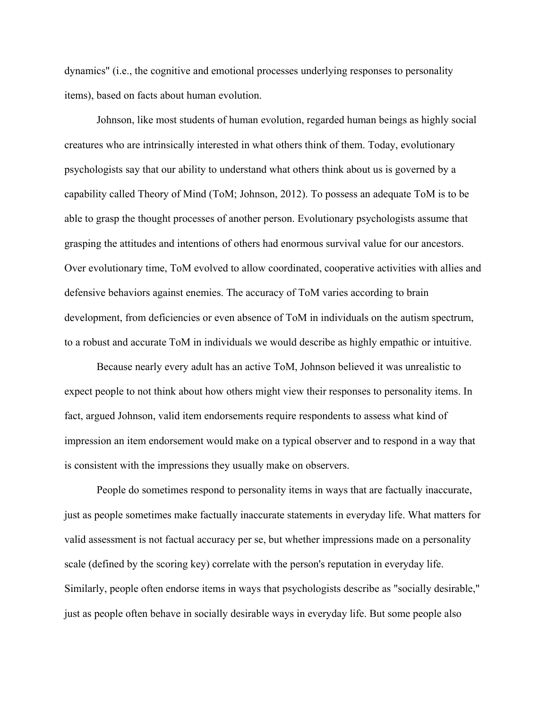dynamics" (i.e., the cognitive and emotional processes underlying responses to personality items), based on facts about human evolution.

Johnson, like most students of human evolution, regarded human beings as highly social creatures who are intrinsically interested in what others think of them. Today, evolutionary psychologists say that our ability to understand what others think about us is governed by a capability called Theory of Mind (ToM; Johnson, 2012). To possess an adequate ToM is to be able to grasp the thought processes of another person. Evolutionary psychologists assume that grasping the attitudes and intentions of others had enormous survival value for our ancestors. Over evolutionary time, ToM evolved to allow coordinated, cooperative activities with allies and defensive behaviors against enemies. The accuracy of ToM varies according to brain development, from deficiencies or even absence of ToM in individuals on the autism spectrum, to a robust and accurate ToM in individuals we would describe as highly empathic or intuitive.

Because nearly every adult has an active ToM, Johnson believed it was unrealistic to expect people to not think about how others might view their responses to personality items. In fact, argued Johnson, valid item endorsements require respondents to assess what kind of impression an item endorsement would make on a typical observer and to respond in a way that is consistent with the impressions they usually make on observers.

People do sometimes respond to personality items in ways that are factually inaccurate, just as people sometimes make factually inaccurate statements in everyday life. What matters for valid assessment is not factual accuracy per se, but whether impressions made on a personality scale (defined by the scoring key) correlate with the person's reputation in everyday life. Similarly, people often endorse items in ways that psychologists describe as "socially desirable," just as people often behave in socially desirable ways in everyday life. But some people also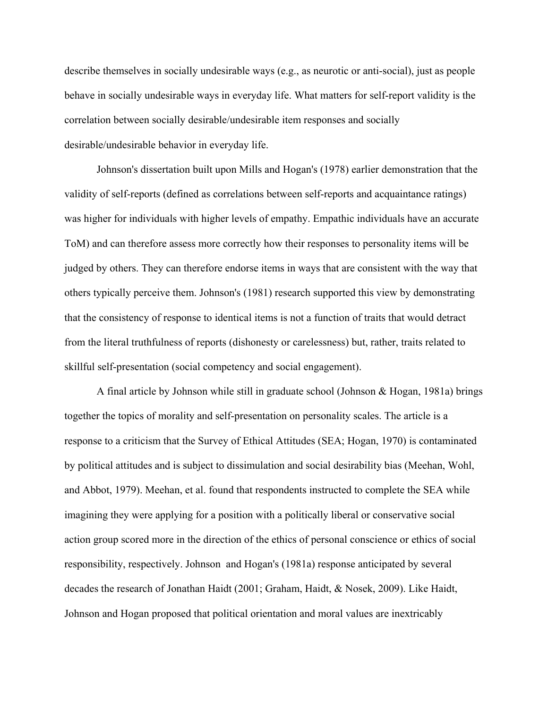describe themselves in socially undesirable ways (e.g., as neurotic or anti-social), just as people behave in socially undesirable ways in everyday life. What matters for self-report validity is the correlation between socially desirable/undesirable item responses and socially desirable/undesirable behavior in everyday life.

Johnson's dissertation built upon Mills and Hogan's (1978) earlier demonstration that the validity of self-reports (defined as correlations between self-reports and acquaintance ratings) was higher for individuals with higher levels of empathy. Empathic individuals have an accurate ToM) and can therefore assess more correctly how their responses to personality items will be judged by others. They can therefore endorse items in ways that are consistent with the way that others typically perceive them. Johnson's (1981) research supported this view by demonstrating that the consistency of response to identical items is not a function of traits that would detract from the literal truthfulness of reports (dishonesty or carelessness) but, rather, traits related to skillful self-presentation (social competency and social engagement).

A final article by Johnson while still in graduate school (Johnson & Hogan, 1981a) brings together the topics of morality and self-presentation on personality scales. The article is a response to a criticism that the Survey of Ethical Attitudes (SEA; Hogan, 1970) is contaminated by political attitudes and is subject to dissimulation and social desirability bias (Meehan, Wohl, and Abbot, 1979). Meehan, et al. found that respondents instructed to complete the SEA while imagining they were applying for a position with a politically liberal or conservative social action group scored more in the direction of the ethics of personal conscience or ethics of social responsibility, respectively. Johnson and Hogan's (1981a) response anticipated by several decades the research of Jonathan Haidt (2001; Graham, Haidt, & Nosek, 2009). Like Haidt, Johnson and Hogan proposed that political orientation and moral values are inextricably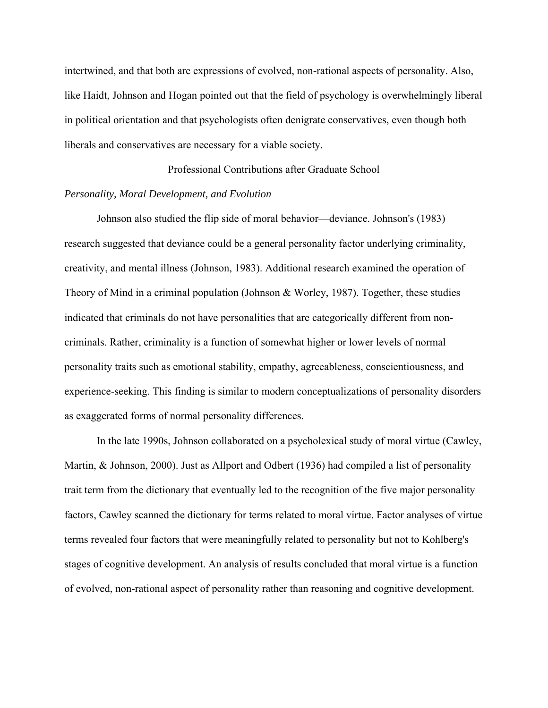intertwined, and that both are expressions of evolved, non-rational aspects of personality. Also, like Haidt, Johnson and Hogan pointed out that the field of psychology is overwhelmingly liberal in political orientation and that psychologists often denigrate conservatives, even though both liberals and conservatives are necessary for a viable society.

# Professional Contributions after Graduate School

## *Personality, Moral Development, and Evolution*

Johnson also studied the flip side of moral behavior—deviance. Johnson's (1983) research suggested that deviance could be a general personality factor underlying criminality, creativity, and mental illness (Johnson, 1983). Additional research examined the operation of Theory of Mind in a criminal population (Johnson & Worley, 1987). Together, these studies indicated that criminals do not have personalities that are categorically different from noncriminals. Rather, criminality is a function of somewhat higher or lower levels of normal personality traits such as emotional stability, empathy, agreeableness, conscientiousness, and experience-seeking. This finding is similar to modern conceptualizations of personality disorders as exaggerated forms of normal personality differences.

In the late 1990s, Johnson collaborated on a psycholexical study of moral virtue (Cawley, Martin, & Johnson, 2000). Just as Allport and Odbert (1936) had compiled a list of personality trait term from the dictionary that eventually led to the recognition of the five major personality factors, Cawley scanned the dictionary for terms related to moral virtue. Factor analyses of virtue terms revealed four factors that were meaningfully related to personality but not to Kohlberg's stages of cognitive development. An analysis of results concluded that moral virtue is a function of evolved, non-rational aspect of personality rather than reasoning and cognitive development.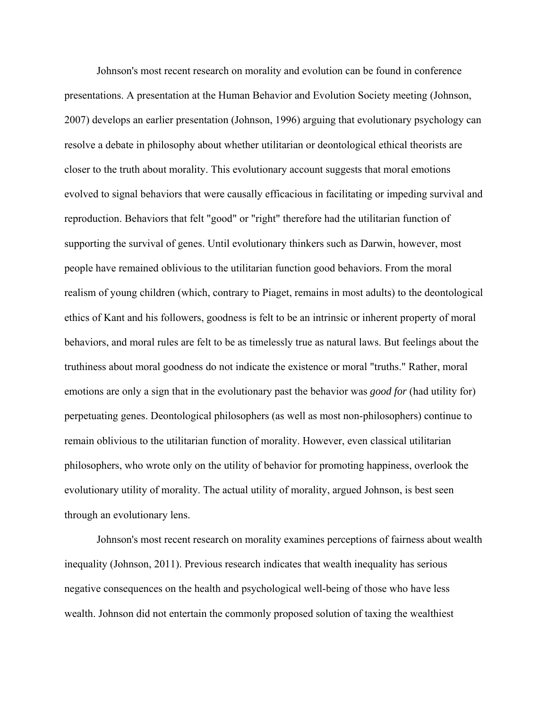Johnson's most recent research on morality and evolution can be found in conference presentations. A presentation at the Human Behavior and Evolution Society meeting (Johnson, 2007) develops an earlier presentation (Johnson, 1996) arguing that evolutionary psychology can resolve a debate in philosophy about whether utilitarian or deontological ethical theorists are closer to the truth about morality. This evolutionary account suggests that moral emotions evolved to signal behaviors that were causally efficacious in facilitating or impeding survival and reproduction. Behaviors that felt "good" or "right" therefore had the utilitarian function of supporting the survival of genes. Until evolutionary thinkers such as Darwin, however, most people have remained oblivious to the utilitarian function good behaviors. From the moral realism of young children (which, contrary to Piaget, remains in most adults) to the deontological ethics of Kant and his followers, goodness is felt to be an intrinsic or inherent property of moral behaviors, and moral rules are felt to be as timelessly true as natural laws. But feelings about the truthiness about moral goodness do not indicate the existence or moral "truths." Rather, moral emotions are only a sign that in the evolutionary past the behavior was *good for* (had utility for) perpetuating genes. Deontological philosophers (as well as most non-philosophers) continue to remain oblivious to the utilitarian function of morality. However, even classical utilitarian philosophers, who wrote only on the utility of behavior for promoting happiness, overlook the evolutionary utility of morality. The actual utility of morality, argued Johnson, is best seen through an evolutionary lens.

Johnson's most recent research on morality examines perceptions of fairness about wealth inequality (Johnson, 2011). Previous research indicates that wealth inequality has serious negative consequences on the health and psychological well-being of those who have less wealth. Johnson did not entertain the commonly proposed solution of taxing the wealthiest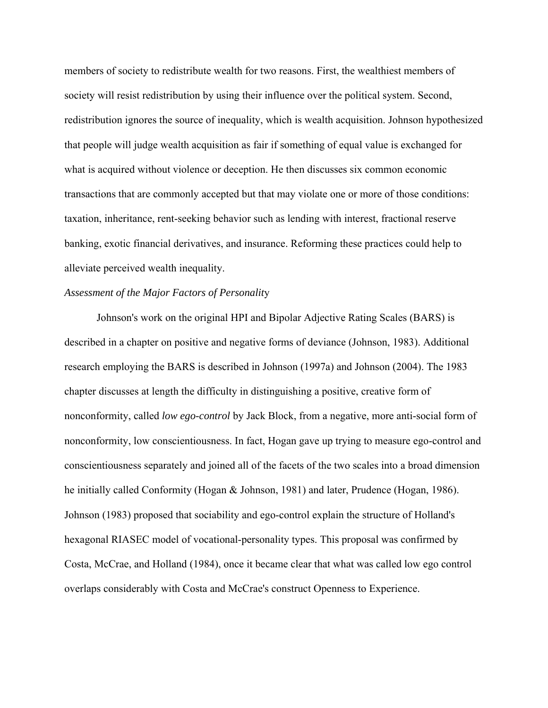members of society to redistribute wealth for two reasons. First, the wealthiest members of society will resist redistribution by using their influence over the political system. Second, redistribution ignores the source of inequality, which is wealth acquisition. Johnson hypothesized that people will judge wealth acquisition as fair if something of equal value is exchanged for what is acquired without violence or deception. He then discusses six common economic transactions that are commonly accepted but that may violate one or more of those conditions: taxation, inheritance, rent-seeking behavior such as lending with interest, fractional reserve banking, exotic financial derivatives, and insurance. Reforming these practices could help to alleviate perceived wealth inequality.

## *Assessment of the Major Factors of Personalit*y

Johnson's work on the original HPI and Bipolar Adjective Rating Scales (BARS) is described in a chapter on positive and negative forms of deviance (Johnson, 1983). Additional research employing the BARS is described in Johnson (1997a) and Johnson (2004). The 1983 chapter discusses at length the difficulty in distinguishing a positive, creative form of nonconformity, called *low ego-control* by Jack Block, from a negative, more anti-social form of nonconformity, low conscientiousness. In fact, Hogan gave up trying to measure ego-control and conscientiousness separately and joined all of the facets of the two scales into a broad dimension he initially called Conformity (Hogan & Johnson, 1981) and later, Prudence (Hogan, 1986). Johnson (1983) proposed that sociability and ego-control explain the structure of Holland's hexagonal RIASEC model of vocational-personality types. This proposal was confirmed by Costa, McCrae, and Holland (1984), once it became clear that what was called low ego control overlaps considerably with Costa and McCrae's construct Openness to Experience.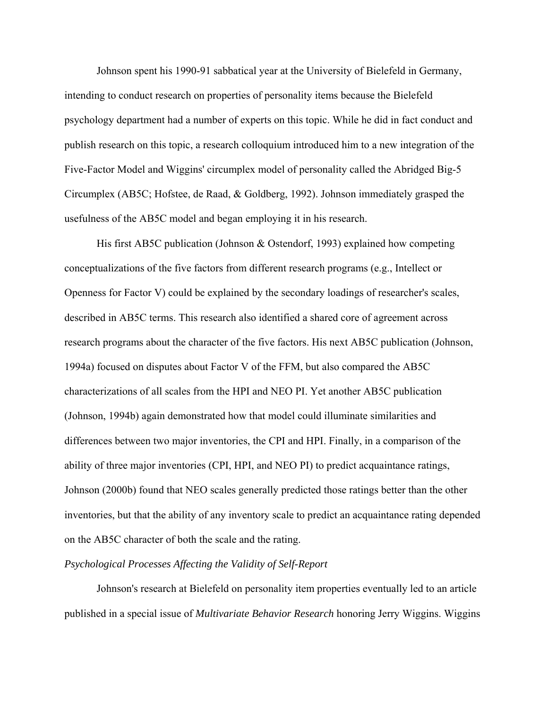Johnson spent his 1990-91 sabbatical year at the University of Bielefeld in Germany, intending to conduct research on properties of personality items because the Bielefeld psychology department had a number of experts on this topic. While he did in fact conduct and publish research on this topic, a research colloquium introduced him to a new integration of the Five-Factor Model and Wiggins' circumplex model of personality called the Abridged Big-5 Circumplex (AB5C; Hofstee, de Raad, & Goldberg, 1992). Johnson immediately grasped the usefulness of the AB5C model and began employing it in his research.

His first AB5C publication (Johnson & Ostendorf, 1993) explained how competing conceptualizations of the five factors from different research programs (e.g., Intellect or Openness for Factor V) could be explained by the secondary loadings of researcher's scales, described in AB5C terms. This research also identified a shared core of agreement across research programs about the character of the five factors. His next AB5C publication (Johnson, 1994a) focused on disputes about Factor V of the FFM, but also compared the AB5C characterizations of all scales from the HPI and NEO PI. Yet another AB5C publication (Johnson, 1994b) again demonstrated how that model could illuminate similarities and differences between two major inventories, the CPI and HPI. Finally, in a comparison of the ability of three major inventories (CPI, HPI, and NEO PI) to predict acquaintance ratings, Johnson (2000b) found that NEO scales generally predicted those ratings better than the other inventories, but that the ability of any inventory scale to predict an acquaintance rating depended on the AB5C character of both the scale and the rating.

## *Psychological Processes Affecting the Validity of Self-Report*

 Johnson's research at Bielefeld on personality item properties eventually led to an article published in a special issue of *Multivariate Behavior Research* honoring Jerry Wiggins. Wiggins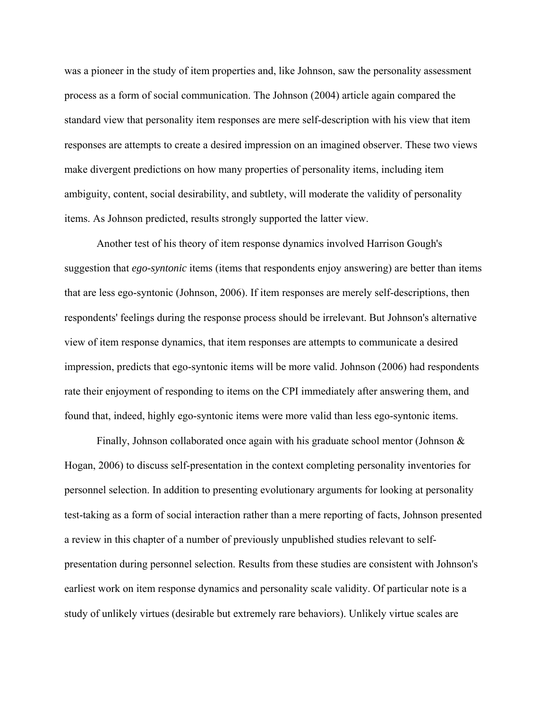was a pioneer in the study of item properties and, like Johnson, saw the personality assessment process as a form of social communication. The Johnson (2004) article again compared the standard view that personality item responses are mere self-description with his view that item responses are attempts to create a desired impression on an imagined observer. These two views make divergent predictions on how many properties of personality items, including item ambiguity, content, social desirability, and subtlety, will moderate the validity of personality items. As Johnson predicted, results strongly supported the latter view.

Another test of his theory of item response dynamics involved Harrison Gough's suggestion that *ego-syntonic* items (items that respondents enjoy answering) are better than items that are less ego-syntonic (Johnson, 2006). If item responses are merely self-descriptions, then respondents' feelings during the response process should be irrelevant. But Johnson's alternative view of item response dynamics, that item responses are attempts to communicate a desired impression, predicts that ego-syntonic items will be more valid. Johnson (2006) had respondents rate their enjoyment of responding to items on the CPI immediately after answering them, and found that, indeed, highly ego-syntonic items were more valid than less ego-syntonic items.

Finally, Johnson collaborated once again with his graduate school mentor (Johnson  $\&$ Hogan, 2006) to discuss self-presentation in the context completing personality inventories for personnel selection. In addition to presenting evolutionary arguments for looking at personality test-taking as a form of social interaction rather than a mere reporting of facts, Johnson presented a review in this chapter of a number of previously unpublished studies relevant to selfpresentation during personnel selection. Results from these studies are consistent with Johnson's earliest work on item response dynamics and personality scale validity. Of particular note is a study of unlikely virtues (desirable but extremely rare behaviors). Unlikely virtue scales are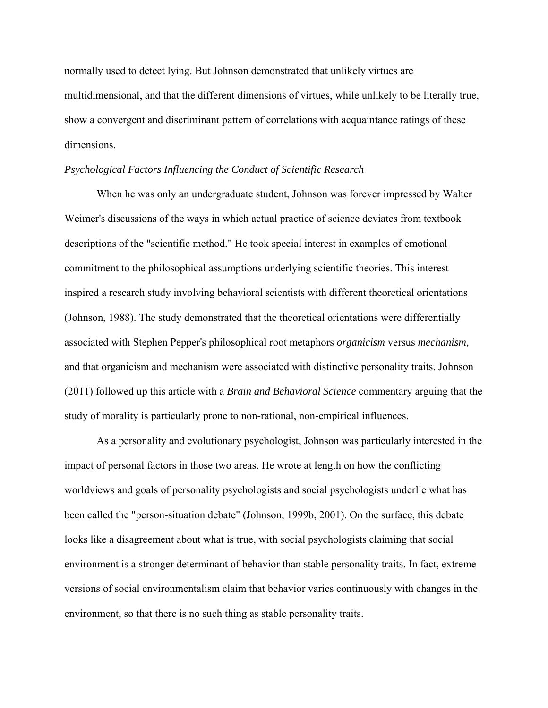normally used to detect lying. But Johnson demonstrated that unlikely virtues are multidimensional, and that the different dimensions of virtues, while unlikely to be literally true, show a convergent and discriminant pattern of correlations with acquaintance ratings of these dimensions.

## *Psychological Factors Influencing the Conduct of Scientific Research*

 When he was only an undergraduate student, Johnson was forever impressed by Walter Weimer's discussions of the ways in which actual practice of science deviates from textbook descriptions of the "scientific method." He took special interest in examples of emotional commitment to the philosophical assumptions underlying scientific theories. This interest inspired a research study involving behavioral scientists with different theoretical orientations (Johnson, 1988). The study demonstrated that the theoretical orientations were differentially associated with Stephen Pepper's philosophical root metaphors *organicism* versus *mechanism*, and that organicism and mechanism were associated with distinctive personality traits. Johnson (2011) followed up this article with a *Brain and Behavioral Science* commentary arguing that the study of morality is particularly prone to non-rational, non-empirical influences.

As a personality and evolutionary psychologist, Johnson was particularly interested in the impact of personal factors in those two areas. He wrote at length on how the conflicting worldviews and goals of personality psychologists and social psychologists underlie what has been called the "person-situation debate" (Johnson, 1999b, 2001). On the surface, this debate looks like a disagreement about what is true, with social psychologists claiming that social environment is a stronger determinant of behavior than stable personality traits. In fact, extreme versions of social environmentalism claim that behavior varies continuously with changes in the environment, so that there is no such thing as stable personality traits.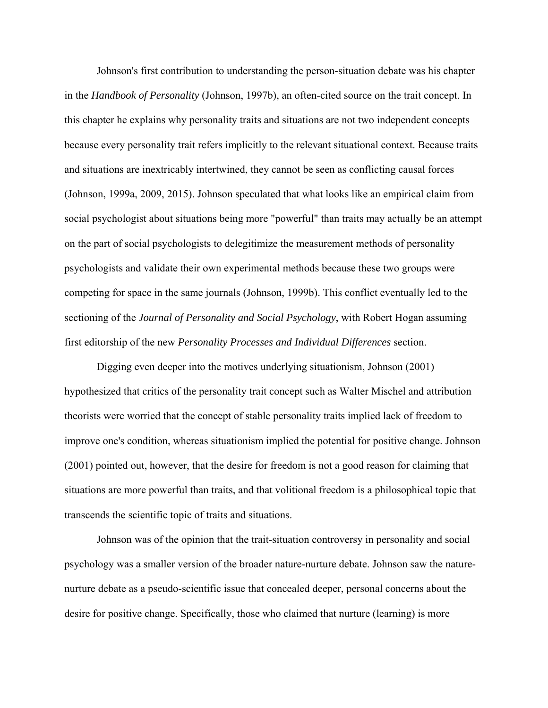Johnson's first contribution to understanding the person-situation debate was his chapter in the *Handbook of Personality* (Johnson, 1997b), an often-cited source on the trait concept. In this chapter he explains why personality traits and situations are not two independent concepts because every personality trait refers implicitly to the relevant situational context. Because traits and situations are inextricably intertwined, they cannot be seen as conflicting causal forces (Johnson, 1999a, 2009, 2015). Johnson speculated that what looks like an empirical claim from social psychologist about situations being more "powerful" than traits may actually be an attempt on the part of social psychologists to delegitimize the measurement methods of personality psychologists and validate their own experimental methods because these two groups were competing for space in the same journals (Johnson, 1999b). This conflict eventually led to the sectioning of the *Journal of Personality and Social Psychology*, with Robert Hogan assuming first editorship of the new *Personality Processes and Individual Differences* section.

Digging even deeper into the motives underlying situationism, Johnson (2001) hypothesized that critics of the personality trait concept such as Walter Mischel and attribution theorists were worried that the concept of stable personality traits implied lack of freedom to improve one's condition, whereas situationism implied the potential for positive change. Johnson (2001) pointed out, however, that the desire for freedom is not a good reason for claiming that situations are more powerful than traits, and that volitional freedom is a philosophical topic that transcends the scientific topic of traits and situations.

Johnson was of the opinion that the trait-situation controversy in personality and social psychology was a smaller version of the broader nature-nurture debate. Johnson saw the naturenurture debate as a pseudo-scientific issue that concealed deeper, personal concerns about the desire for positive change. Specifically, those who claimed that nurture (learning) is more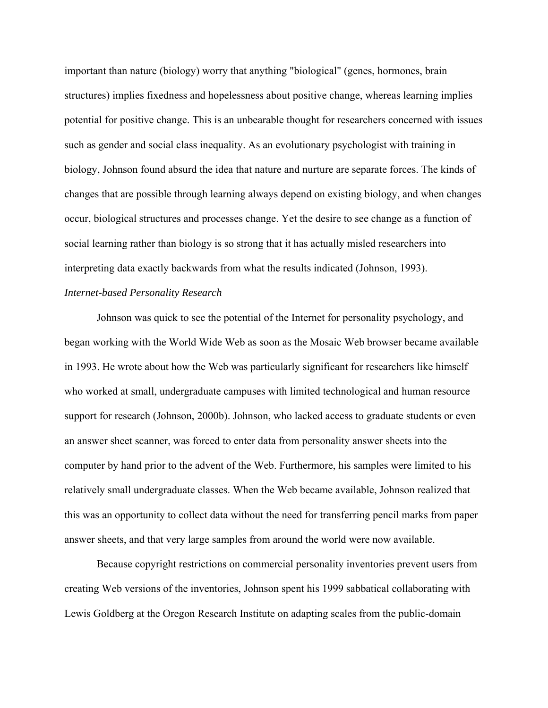important than nature (biology) worry that anything "biological" (genes, hormones, brain structures) implies fixedness and hopelessness about positive change, whereas learning implies potential for positive change. This is an unbearable thought for researchers concerned with issues such as gender and social class inequality. As an evolutionary psychologist with training in biology, Johnson found absurd the idea that nature and nurture are separate forces. The kinds of changes that are possible through learning always depend on existing biology, and when changes occur, biological structures and processes change. Yet the desire to see change as a function of social learning rather than biology is so strong that it has actually misled researchers into interpreting data exactly backwards from what the results indicated (Johnson, 1993). *Internet-based Personality Research* 

 Johnson was quick to see the potential of the Internet for personality psychology, and began working with the World Wide Web as soon as the Mosaic Web browser became available in 1993. He wrote about how the Web was particularly significant for researchers like himself who worked at small, undergraduate campuses with limited technological and human resource support for research (Johnson, 2000b). Johnson, who lacked access to graduate students or even an answer sheet scanner, was forced to enter data from personality answer sheets into the computer by hand prior to the advent of the Web. Furthermore, his samples were limited to his relatively small undergraduate classes. When the Web became available, Johnson realized that this was an opportunity to collect data without the need for transferring pencil marks from paper answer sheets, and that very large samples from around the world were now available.

 Because copyright restrictions on commercial personality inventories prevent users from creating Web versions of the inventories, Johnson spent his 1999 sabbatical collaborating with Lewis Goldberg at the Oregon Research Institute on adapting scales from the public-domain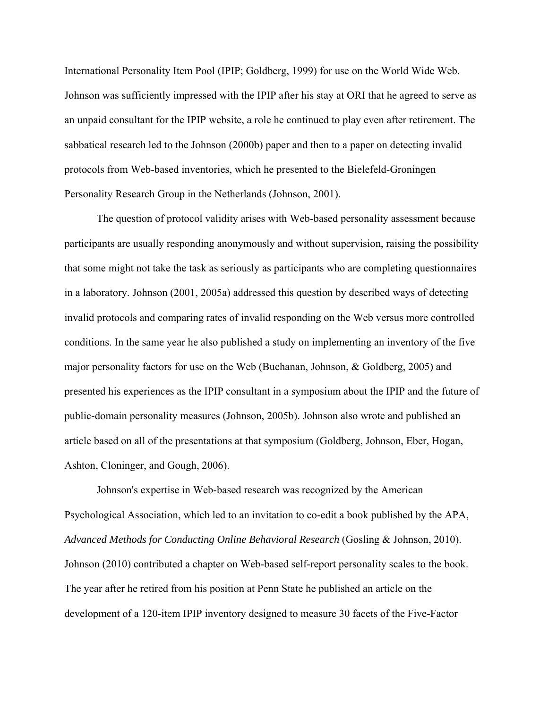International Personality Item Pool (IPIP; Goldberg, 1999) for use on the World Wide Web. Johnson was sufficiently impressed with the IPIP after his stay at ORI that he agreed to serve as an unpaid consultant for the IPIP website, a role he continued to play even after retirement. The sabbatical research led to the Johnson (2000b) paper and then to a paper on detecting invalid protocols from Web-based inventories, which he presented to the Bielefeld-Groningen Personality Research Group in the Netherlands (Johnson, 2001).

 The question of protocol validity arises with Web-based personality assessment because participants are usually responding anonymously and without supervision, raising the possibility that some might not take the task as seriously as participants who are completing questionnaires in a laboratory. Johnson (2001, 2005a) addressed this question by described ways of detecting invalid protocols and comparing rates of invalid responding on the Web versus more controlled conditions. In the same year he also published a study on implementing an inventory of the five major personality factors for use on the Web (Buchanan, Johnson, & Goldberg, 2005) and presented his experiences as the IPIP consultant in a symposium about the IPIP and the future of public-domain personality measures (Johnson, 2005b). Johnson also wrote and published an article based on all of the presentations at that symposium (Goldberg, Johnson, Eber, Hogan, Ashton, Cloninger, and Gough, 2006).

 Johnson's expertise in Web-based research was recognized by the American Psychological Association, which led to an invitation to co-edit a book published by the APA, *Advanced Methods for Conducting Online Behavioral Research* (Gosling & Johnson, 2010). Johnson (2010) contributed a chapter on Web-based self-report personality scales to the book. The year after he retired from his position at Penn State he published an article on the development of a 120-item IPIP inventory designed to measure 30 facets of the Five-Factor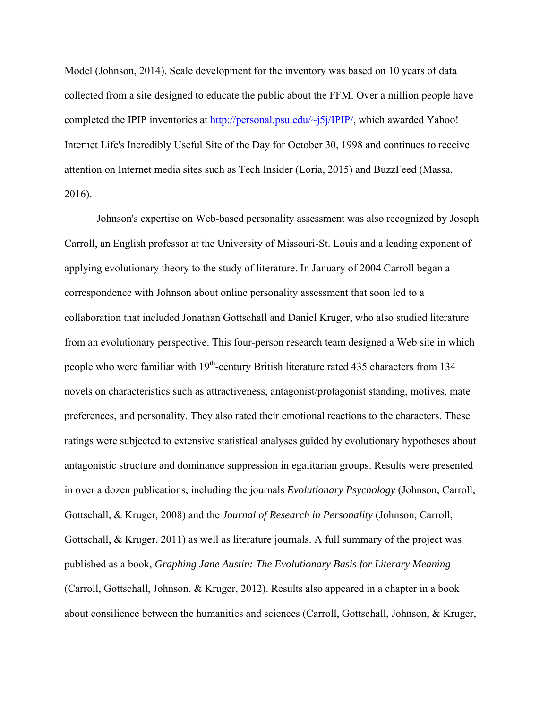Model (Johnson, 2014). Scale development for the inventory was based on 10 years of data collected from a site designed to educate the public about the FFM. Over a million people have completed the IPIP inventories at http://personal.psu.edu/~j5j/IPIP/, which awarded Yahoo! Internet Life's Incredibly Useful Site of the Day for October 30, 1998 and continues to receive attention on Internet media sites such as Tech Insider (Loria, 2015) and BuzzFeed (Massa, 2016).

 Johnson's expertise on Web-based personality assessment was also recognized by Joseph Carroll, an English professor at the University of Missouri-St. Louis and a leading exponent of applying evolutionary theory to the study of literature. In January of 2004 Carroll began a correspondence with Johnson about online personality assessment that soon led to a collaboration that included Jonathan Gottschall and Daniel Kruger, who also studied literature from an evolutionary perspective. This four-person research team designed a Web site in which people who were familiar with 19<sup>th</sup>-century British literature rated 435 characters from 134 novels on characteristics such as attractiveness, antagonist/protagonist standing, motives, mate preferences, and personality. They also rated their emotional reactions to the characters. These ratings were subjected to extensive statistical analyses guided by evolutionary hypotheses about antagonistic structure and dominance suppression in egalitarian groups. Results were presented in over a dozen publications, including the journals *Evolutionary Psychology* (Johnson, Carroll, Gottschall, & Kruger, 2008) and the *Journal of Research in Personality* (Johnson, Carroll, Gottschall, & Kruger, 2011) as well as literature journals. A full summary of the project was published as a book, *Graphing Jane Austin: The Evolutionary Basis for Literary Meaning* (Carroll, Gottschall, Johnson, & Kruger, 2012). Results also appeared in a chapter in a book about consilience between the humanities and sciences (Carroll, Gottschall, Johnson, & Kruger,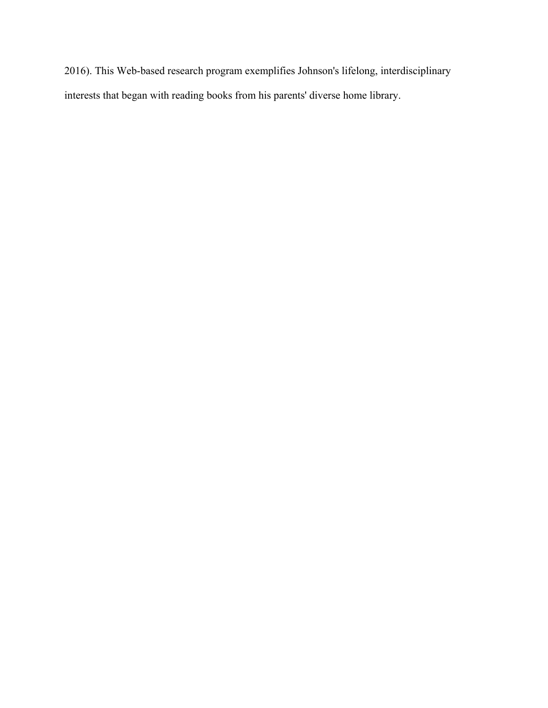2016). This Web-based research program exemplifies Johnson's lifelong, interdisciplinary interests that began with reading books from his parents' diverse home library.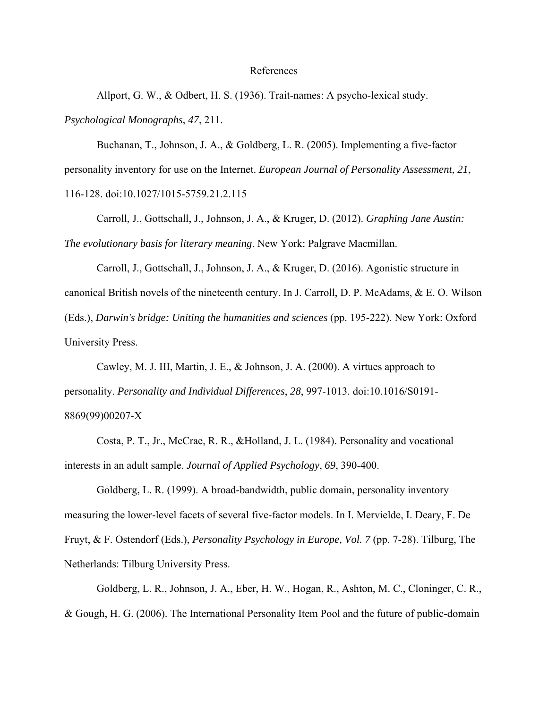#### References

Allport, G. W., & Odbert, H. S. (1936). Trait-names: A psycho-lexical study.

*Psychological Monographs*, *47*, 211.

Buchanan, T., Johnson, J. A., & Goldberg, L. R. (2005). Implementing a five-factor personality inventory for use on the Internet. *European Journal of Personality Assessment*, *21*, 116-128. doi:10.1027/1015-5759.21.2.115

Carroll, J., Gottschall, J., Johnson, J. A., & Kruger, D. (2012). *Graphing Jane Austin: The evolutionary basis for literary meaning*. New York: Palgrave Macmillan.

Carroll, J., Gottschall, J., Johnson, J. A., & Kruger, D. (2016). Agonistic structure in canonical British novels of the nineteenth century. In J. Carroll, D. P. McAdams, & E. O. Wilson (Eds.), *Darwin's bridge: Uniting the humanities and sciences* (pp. 195-222). New York: Oxford University Press.

Cawley, M. J. III, Martin, J. E., & Johnson, J. A. (2000). A virtues approach to personality. *Personality and Individual Differences*, *28*, 997-1013. doi:10.1016/S0191- 8869(99)00207-X

Costa, P. T., Jr., McCrae, R. R., &Holland, J. L. (1984). Personality and vocational interests in an adult sample. *Journal of Applied Psychology*, *69*, 390-400.

Goldberg, L. R. (1999). A broad-bandwidth, public domain, personality inventory measuring the lower-level facets of several five-factor models. In I. Mervielde, I. Deary, F. De Fruyt, & F. Ostendorf (Eds.), *Personality Psychology in Europe, Vol. 7* (pp. 7-28). Tilburg, The Netherlands: Tilburg University Press.

Goldberg, L. R., Johnson, J. A., Eber, H. W., Hogan, R., Ashton, M. C., Cloninger, C. R., & Gough, H. G. (2006). The International Personality Item Pool and the future of public-domain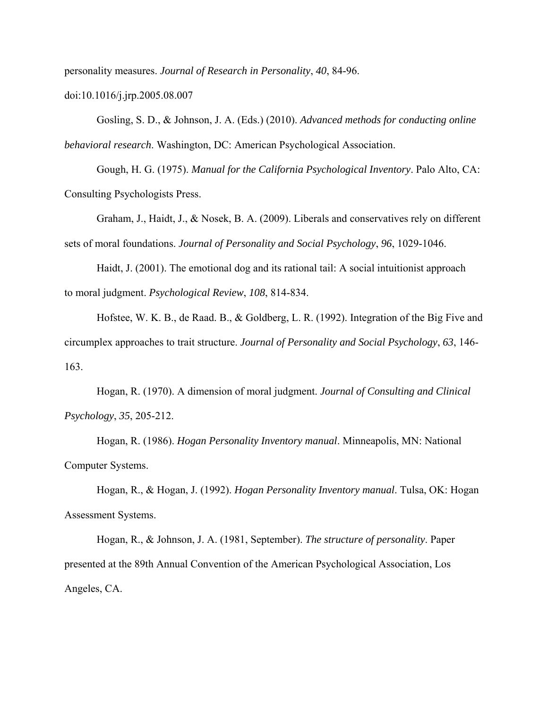personality measures. *Journal of Research in Personality*, *40*, 84-96.

doi:10.1016/j.jrp.2005.08.007

Gosling, S. D., & Johnson, J. A. (Eds.) (2010). *Advanced methods for conducting online behavioral research*. Washington, DC: American Psychological Association.

Gough, H. G. (1975). *Manual for the California Psychological Inventory*. Palo Alto, CA: Consulting Psychologists Press.

Graham, J., Haidt, J., & Nosek, B. A. (2009). Liberals and conservatives rely on different sets of moral foundations. *Journal of Personality and Social Psychology*, *96*, 1029-1046.

Haidt, J. (2001). The emotional dog and its rational tail: A social intuitionist approach to moral judgment. *Psychological Review*, *108*, 814-834.

Hofstee, W. K. B., de Raad. B., & Goldberg, L. R. (1992). Integration of the Big Five and circumplex approaches to trait structure. *Journal of Personality and Social Psychology*, *63*, 146- 163.

 Hogan, R. (1970). A dimension of moral judgment. *Journal of Consulting and Clinical Psychology*, *35*, 205-212.

Hogan, R. (1986). *Hogan Personality Inventory manual*. Minneapolis, MN: National Computer Systems.

Hogan, R., & Hogan, J. (1992). *Hogan Personality Inventory manual*. Tulsa, OK: Hogan Assessment Systems.

Hogan, R., & Johnson, J. A. (1981, September). *The structure of personality*. Paper presented at the 89th Annual Convention of the American Psychological Association, Los Angeles, CA.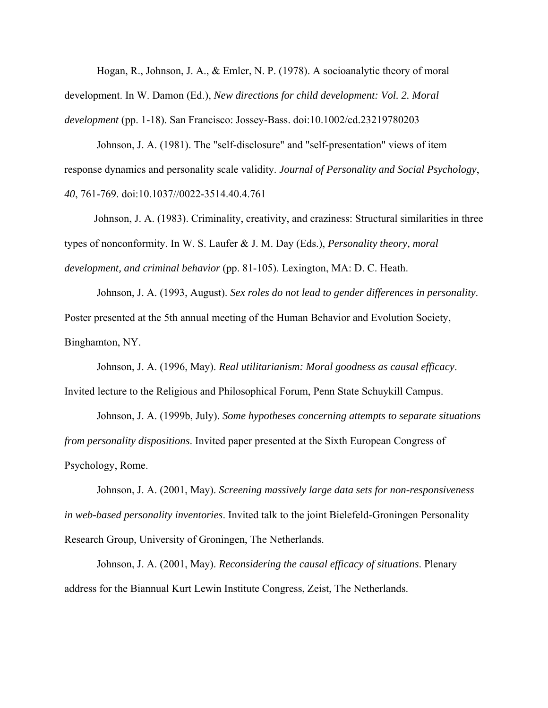Hogan, R., Johnson, J. A., & Emler, N. P. (1978). A socioanalytic theory of moral

development. In W. Damon (Ed.), *New directions for child development: Vol. 2. Moral* 

*development* (pp. 1-18). San Francisco: Jossey-Bass. doi:10.1002/cd.23219780203

Johnson, J. A. (1981). The "self-disclosure" and "self-presentation" views of item response dynamics and personality scale validity. *Journal of Personality and Social Psychology*, *40*, 761-769. doi:10.1037//0022-3514.40.4.761

 Johnson, J. A. (1983). Criminality, creativity, and craziness: Structural similarities in three types of nonconformity. In W. S. Laufer & J. M. Day (Eds.), *Personality theory, moral development, and criminal behavior* (pp. 81-105). Lexington, MA: D. C. Heath.

Johnson, J. A. (1993, August). *Sex roles do not lead to gender differences in personality*. Poster presented at the 5th annual meeting of the Human Behavior and Evolution Society, Binghamton, NY.

Johnson, J. A. (1996, May). *Real utilitarianism: Moral goodness as causal efficacy*. Invited lecture to the Religious and Philosophical Forum, Penn State Schuykill Campus.

Johnson, J. A. (1999b, July). *Some hypotheses concerning attempts to separate situations from personality dispositions*. Invited paper presented at the Sixth European Congress of Psychology, Rome.

Johnson, J. A. (2001, May). *Screening massively large data sets for non-responsiveness in web-based personality inventories*. Invited talk to the joint Bielefeld-Groningen Personality Research Group, University of Groningen, The Netherlands.

Johnson, J. A. (2001, May). *Reconsidering the causal efficacy of situations*. Plenary address for the Biannual Kurt Lewin Institute Congress, Zeist, The Netherlands.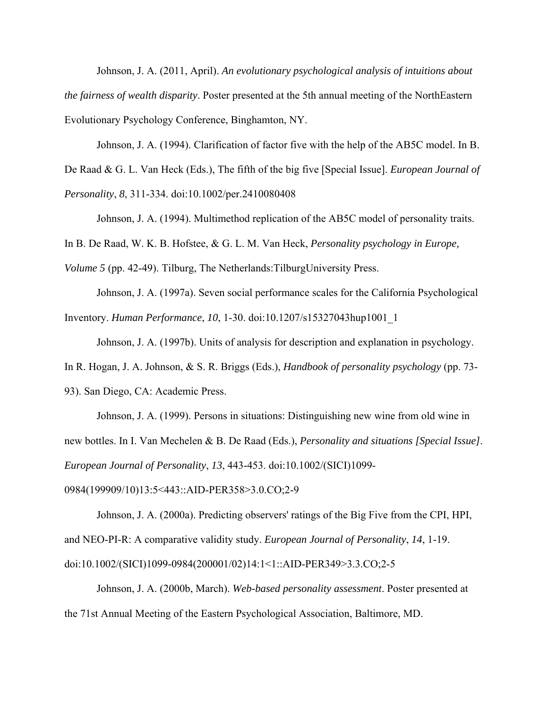Johnson, J. A. (2011, April). *An evolutionary psychological analysis of intuitions about the fairness of wealth disparity*. Poster presented at the 5th annual meeting of the NorthEastern Evolutionary Psychology Conference, Binghamton, NY.

Johnson, J. A. (1994). Clarification of factor five with the help of the AB5C model. In B.

De Raad & G. L. Van Heck (Eds.), The fifth of the big five [Special Issue]. *European Journal of* 

*Personality*, *8*, 311-334. doi:10.1002/per.2410080408

Johnson, J. A. (1994). Multimethod replication of the AB5C model of personality traits.

In B. De Raad, W. K. B. Hofstee, & G. L. M. Van Heck, *Personality psychology in Europe,* 

*Volume 5* (pp. 42-49). Tilburg, The Netherlands:TilburgUniversity Press.

Johnson, J. A. (1997a). Seven social performance scales for the California Psychological Inventory. *Human Performance*, *10*, 1-30. doi:10.1207/s15327043hup1001\_1

Johnson, J. A. (1997b). Units of analysis for description and explanation in psychology.

In R. Hogan, J. A. Johnson, & S. R. Briggs (Eds.), *Handbook of personality psychology* (pp. 73- 93). San Diego, CA: Academic Press.

Johnson, J. A. (1999). Persons in situations: Distinguishing new wine from old wine in new bottles. In I. Van Mechelen & B. De Raad (Eds.), *Personality and situations [Special Issue]*. *European Journal of Personality*, *13*, 443-453. doi:10.1002/(SICI)1099-

0984(199909/10)13:5<443::AID-PER358>3.0.CO;2-9

Johnson, J. A. (2000a). Predicting observers' ratings of the Big Five from the CPI, HPI, and NEO-PI-R: A comparative validity study. *European Journal of Personality*, *14*, 1-19. doi:10.1002/(SICI)1099-0984(200001/02)14:1<1::AID-PER349>3.3.CO;2-5

Johnson, J. A. (2000b, March). *Web-based personality assessment*. Poster presented at the 71st Annual Meeting of the Eastern Psychological Association, Baltimore, MD.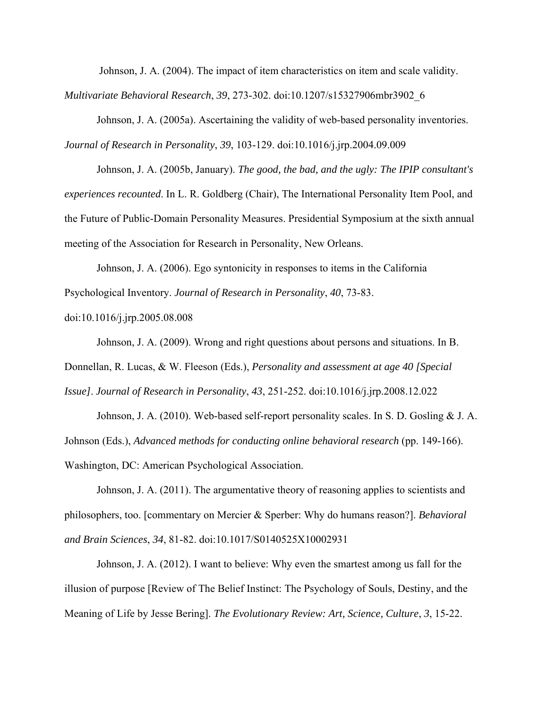Johnson, J. A. (2004). The impact of item characteristics on item and scale validity.

*Multivariate Behavioral Research*, *39*, 273-302. doi:10.1207/s15327906mbr3902\_6

Johnson, J. A. (2005a). Ascertaining the validity of web-based personality inventories. *Journal of Research in Personality*, *39*, 103-129. doi:10.1016/j.jrp.2004.09.009

Johnson, J. A. (2005b, January). *The good, the bad, and the ugly: The IPIP consultant's experiences recounted*. In L. R. Goldberg (Chair), The International Personality Item Pool, and the Future of Public-Domain Personality Measures. Presidential Symposium at the sixth annual meeting of the Association for Research in Personality, New Orleans.

Johnson, J. A. (2006). Ego syntonicity in responses to items in the California Psychological Inventory. *Journal of Research in Personality*, *40*, 73-83.

doi:10.1016/j.jrp.2005.08.008

Johnson, J. A. (2009). Wrong and right questions about persons and situations. In B. Donnellan, R. Lucas, & W. Fleeson (Eds.), *Personality and assessment at age 40 [Special Issue]*. *Journal of Research in Personality*, *43*, 251-252. doi:10.1016/j.jrp.2008.12.022

Johnson, J. A. (2010). Web-based self-report personality scales. In S. D. Gosling & J. A. Johnson (Eds.), *Advanced methods for conducting online behavioral research* (pp. 149-166). Washington, DC: American Psychological Association.

Johnson, J. A. (2011). The argumentative theory of reasoning applies to scientists and philosophers, too. [commentary on Mercier & Sperber: Why do humans reason?]. *Behavioral and Brain Sciences*, *34*, 81-82. doi:10.1017/S0140525X10002931

Johnson, J. A. (2012). I want to believe: Why even the smartest among us fall for the illusion of purpose [Review of The Belief Instinct: The Psychology of Souls, Destiny, and the Meaning of Life by Jesse Bering]. *The Evolutionary Review: Art, Science, Culture*, *3*, 15-22.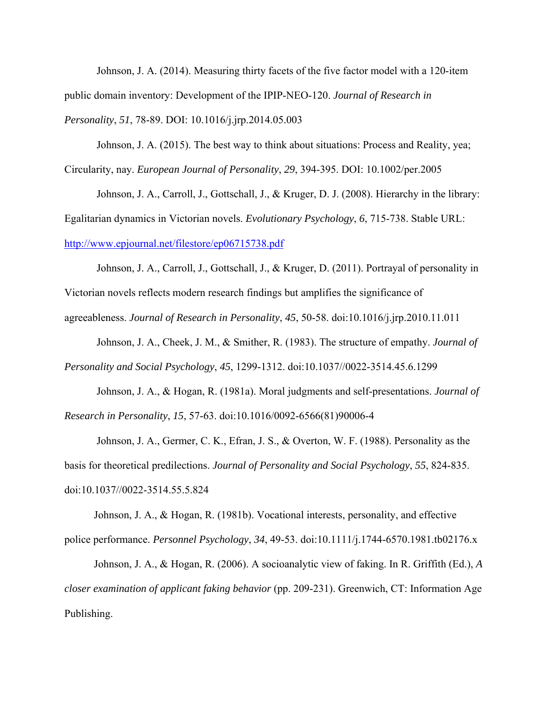Johnson, J. A. (2014). Measuring thirty facets of the five factor model with a 120-item public domain inventory: Development of the IPIP-NEO-120. *Journal of Research in Personality*, *51*, 78-89. DOI: 10.1016/j.jrp.2014.05.003

Johnson, J. A. (2015). The best way to think about situations: Process and Reality, yea; Circularity, nay. *European Journal of Personality*, *29*, 394-395. DOI: 10.1002/per.2005

Johnson, J. A., Carroll, J., Gottschall, J., & Kruger, D. J. (2008). Hierarchy in the library: Egalitarian dynamics in Victorian novels. *Evolutionary Psychology*, *6*, 715-738. Stable URL: http://www.epjournal.net/filestore/ep06715738.pdf

Johnson, J. A., Carroll, J., Gottschall, J., & Kruger, D. (2011). Portrayal of personality in Victorian novels reflects modern research findings but amplifies the significance of agreeableness. *Journal of Research in Personality*, *45*, 50-58. doi:10.1016/j.jrp.2010.11.011

Johnson, J. A., Cheek, J. M., & Smither, R. (1983). The structure of empathy. *Journal of* 

*Personality and Social Psychology*, *45*, 1299-1312. doi:10.1037//0022-3514.45.6.1299

Johnson, J. A., & Hogan, R. (1981a). Moral judgments and self-presentations. *Journal of Research in Personality*, *15*, 57-63. doi:10.1016/0092-6566(81)90006-4

Johnson, J. A., Germer, C. K., Efran, J. S., & Overton, W. F. (1988). Personality as the basis for theoretical predilections. *Journal of Personality and Social Psychology*, *55*, 824-835. doi:10.1037//0022-3514.55.5.824

 Johnson, J. A., & Hogan, R. (1981b). Vocational interests, personality, and effective police performance. *Personnel Psychology*, *34*, 49-53. doi:10.1111/j.1744-6570.1981.tb02176.x

 Johnson, J. A., & Hogan, R. (2006). A socioanalytic view of faking. In R. Griffith (Ed.), *A closer examination of applicant faking behavior* (pp. 209-231). Greenwich, CT: Information Age Publishing.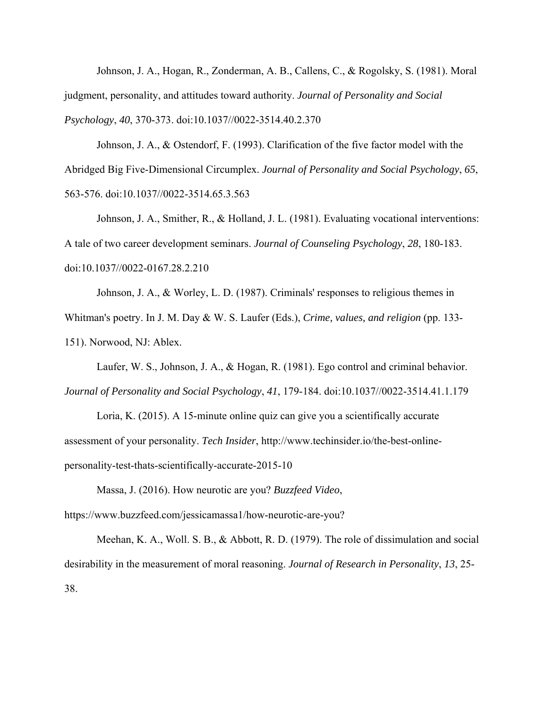Johnson, J. A., Hogan, R., Zonderman, A. B., Callens, C., & Rogolsky, S. (1981). Moral judgment, personality, and attitudes toward authority. *Journal of Personality and Social Psychology*, *40*, 370-373. doi:10.1037//0022-3514.40.2.370

Johnson, J. A., & Ostendorf, F. (1993). Clarification of the five factor model with the Abridged Big Five-Dimensional Circumplex. *Journal of Personality and Social Psychology*, *65*, 563-576. doi:10.1037//0022-3514.65.3.563

Johnson, J. A., Smither, R., & Holland, J. L. (1981). Evaluating vocational interventions: A tale of two career development seminars. *Journal of Counseling Psychology*, *28*, 180-183. doi:10.1037//0022-0167.28.2.210

Johnson, J. A., & Worley, L. D. (1987). Criminals' responses to religious themes in Whitman's poetry. In J. M. Day & W. S. Laufer (Eds.), *Crime, values, and religion* (pp. 133- 151). Norwood, NJ: Ablex.

Laufer, W. S., Johnson, J. A., & Hogan, R. (1981). Ego control and criminal behavior. *Journal of Personality and Social Psychology*, *41*, 179-184. doi:10.1037//0022-3514.41.1.179

Loria, K. (2015). A 15-minute online quiz can give you a scientifically accurate assessment of your personality. *Tech Insider*, http://www.techinsider.io/the-best-onlinepersonality-test-thats-scientifically-accurate-2015-10

Massa, J. (2016). How neurotic are you? *Buzzfeed Video*,

https://www.buzzfeed.com/jessicamassa1/how-neurotic-are-you?

Meehan, K. A., Woll. S. B., & Abbott, R. D. (1979). The role of dissimulation and social desirability in the measurement of moral reasoning. *Journal of Research in Personality*, *13*, 25- 38.